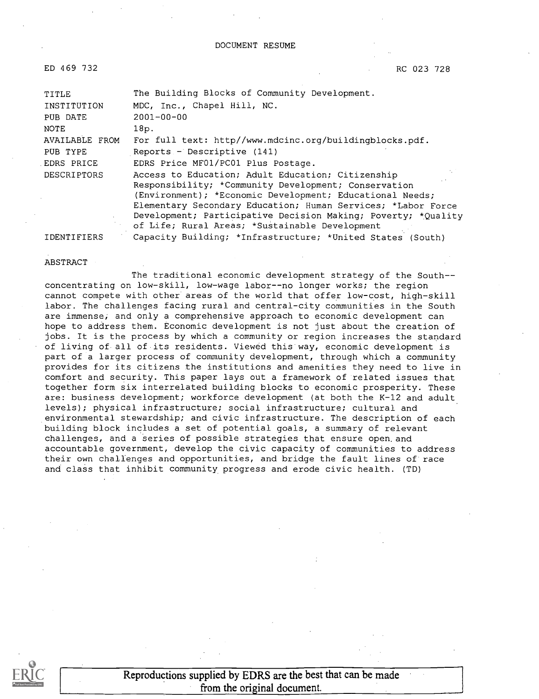ED 469 732

RC 023 728

| TITLE                 | The Building Blocks of Community Development.                                                                                                                                                                                                                                                          |  |  |
|-----------------------|--------------------------------------------------------------------------------------------------------------------------------------------------------------------------------------------------------------------------------------------------------------------------------------------------------|--|--|
| INSTITUTION           | MDC, Inc., Chapel Hill, NC.                                                                                                                                                                                                                                                                            |  |  |
| PUB DATE              | $2001 - 00 - 00$                                                                                                                                                                                                                                                                                       |  |  |
| NOTE                  | 18p.                                                                                                                                                                                                                                                                                                   |  |  |
| <b>AVAILABLE FROM</b> | For full text: http//www.mdcinc.org/buildingblocks.pdf.                                                                                                                                                                                                                                                |  |  |
| PUB TYPE              | Reports - Descriptive (141)                                                                                                                                                                                                                                                                            |  |  |
| EDRS PRICE            | EDRS Price MF01/PC01 Plus Postage.                                                                                                                                                                                                                                                                     |  |  |
| <b>DESCRIPTORS</b>    | Access to Education; Adult Education; Citizenship<br>Responsibility; *Community Development; Conservation<br>(Environment); *Economic Development; Educational Needs;<br>Elementary Secondary Education; Human Services; *Labor Force<br>Development; Participative Decision Making; Poverty; *Quality |  |  |
|                       | of Life; Rural Areas; *Sustainable Development                                                                                                                                                                                                                                                         |  |  |
| IDENTIFIERS           | Capacity Building; *Infrastructure; *United States (South)                                                                                                                                                                                                                                             |  |  |

#### ABSTRACT

The traditional economic development strategy of the Southconcentrating on low-skill, low-wage labor--no longer works; the region cannot compete with other areas of the world that offer low-cost, high-skill labor. The challenges facing rural and central-city communities in the South are immense, and only a comprehensive approach to economic development can hope to address them. Economic development is not just about the creation of jobs. It is the process by which a community or region increases the standard of living of all of its residents. Viewed this way, economic development is part of a larger process of community development, through which a community provides for its citizens the institutions and amenities they need to live in comfort and security. This paper lays out a framework of related issues that together form six interrelated building blocks to economic prosperity. These are: business development; workforce development (at both the K-12 and adult levels); physical infrastructure; social infrastructure; cultural and environmental stewardship; and civic infrastructure. The description of each building block includes a set of potential goals, a summary of relevant challenges, and a series of possible strategies that ensure open, and accountable government, develop the civic capacity of communities to address their own challenges and opportunities, and bridge the fault lines of race and class that inhibit community progress and erode civic health. (TD)



Reproductions supplied by EDRS are the best that can be made from the original document.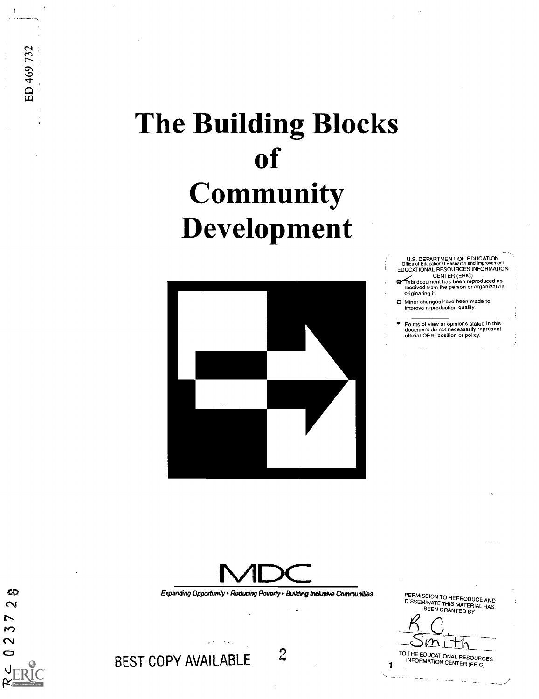# The Building Blocks of **Community** Development



U.S. DEPARTMENT OF EDUCATION<br>Office of Educational Research and Improvement

EDUCATIONAL CENTER (ERIC)<br>
This document has been reproduced as<br>
received from the person or organization originating it.

Minor changes have been made to Minor changes have been made to<br>improve reproduction quality.

Points of view or opinions stated in this<br>document do not necessarily represent official OERI position. or policy.



Expanding Opportunity · Reducing Poverty · Building Inclusive Communities.

PERMISSION TO REPRODUCE AND DISSEMINATE THIS MATERIAL HAS BEEN GRANTED BY

<sup>10</sup> THE EDUCATIONAL RESOURCES<br>1 INFORMATION CENTER (ERIC)

BEST COPY AVAILABLE 2

ශ  $\sim$  $\sim$  $\mathsf{M}$  $\sim$  $\bullet$ 

ED 469 732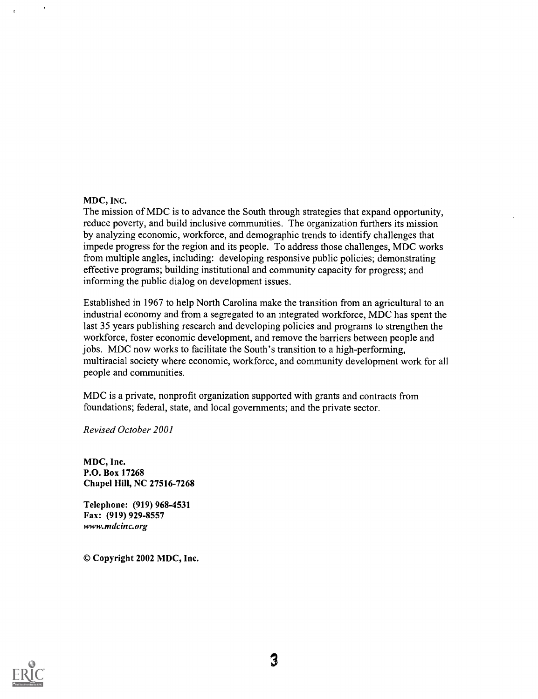#### MDC, INC.

The mission of MDC is to advance the South through strategies that expand opportunity, reduce poverty, and build inclusive communities. The organization furthers its mission by analyzing economic, workforce, and demographic trends to identify challenges that impede progress for the region and its people. To address those challenges, MDC works from multiple angles, including: developing responsive public policies; demonstrating effective programs; building institutional and community capacity for progress; and informing the public dialog on development issues.

Established in 1967 to help North Carolina make the transition from an agricultural to an industrial economy and from a segregated to an integrated workforce, MDC has spent the last 35 years publishing research and developing policies and programs to strengthen the workforce, foster economic development, and remove the barriers between people and jobs. MDC now works to facilitate the South's transition to a high-performing, multiracial society where economic, workforce, and community development work for all people and communities.

MDC is a private, nonprofit organization supported with grants and contracts from foundations; federal, state, and local governments; and the private sector.

Revised October 2001

MDC, Inc. P.O. Box 17268 Chapel Hill, NC 27516-7268

Telephone: (919) 968-4531 Fax: (919) 929-8557 www.mdcinc.org

© Copyright 2002 MDC, Inc.

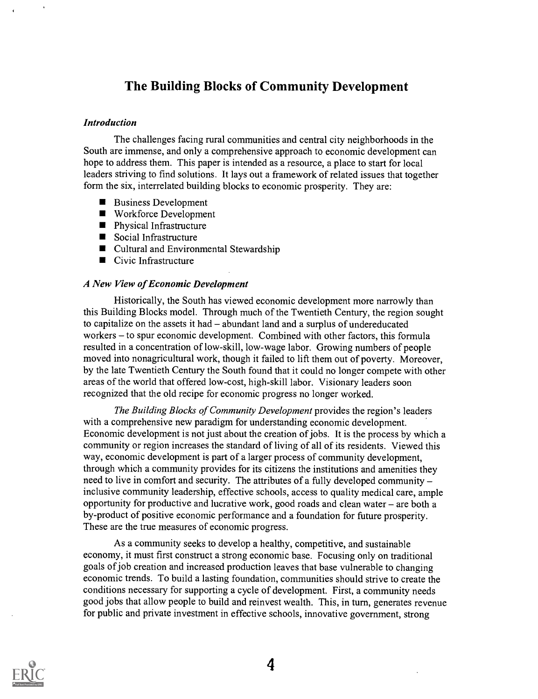### The Building Blocks of Community Development

#### Introduction

The challenges facing rural communities and central city neighborhoods in the South are immense, and only a comprehensive approach to economic development can hope to address them. This paper is intended as a resource, a place to start for local leaders striving to find solutions. It lays out a framework of related issues that together form the six, interrelated building blocks to economic prosperity. They are:

- Business Development
- Workforce Development
- **Physical Infrastructure**
- Social Infrastructure
- Cultural and Environmental Stewardship
- Civic Infrastructure

#### A New View of Economic Development

Historically, the South has viewed economic development more narrowly than this Building Blocks model. Through much of the Twentieth Century, the region sought to capitalize on the assets it had  $-\alpha$  abundant land and a surplus of undereducated workers – to spur economic development. Combined with other factors, this formula resulted in a concentration of low-skill, low-wage labor. Growing numbers of people moved into nonagricultural work, though it failed to lift them out of poverty. Moreover, by the late Twentieth Century the South found that it could no longer compete with other areas of the world that offered low-cost, high-skill labor. Visionary leaders soon recognized that the old recipe for economic progress no longer worked.

The Building Blocks of Community Development provides the region's leaders with a comprehensive new paradigm for understanding economic development. Economic development is not just about the creation of jobs. It is the process by which a community or region increases the standard of living of all of its residents. Viewed this way, economic development is part of a larger process of community development, through which a community provides for its citizens the institutions and amenities they need to live in comfort and security. The attributes of a fully developed community inclusive community leadership, effective schools, access to quality medical care, ample opportunity for productive and lucrative work, good roads and clean water  $-$  are both a by-product of positive economic performance and a foundation for future prosperity. These are the true measures of economic progress.

As a community seeks to develop a healthy, competitive, and sustainable economy, it must first construct a strong economic base. Focusing only on traditional goals of job creation and increased production leaves that base vulnerable to changing economic trends. To build a lasting foundation, communities should strive to create the conditions necessary for supporting a cycle of development. First, a community needs good jobs that allow people to build and reinvest wealth. This, in turn, generates revenue for public and private investment in effective schools, innovative government, strong

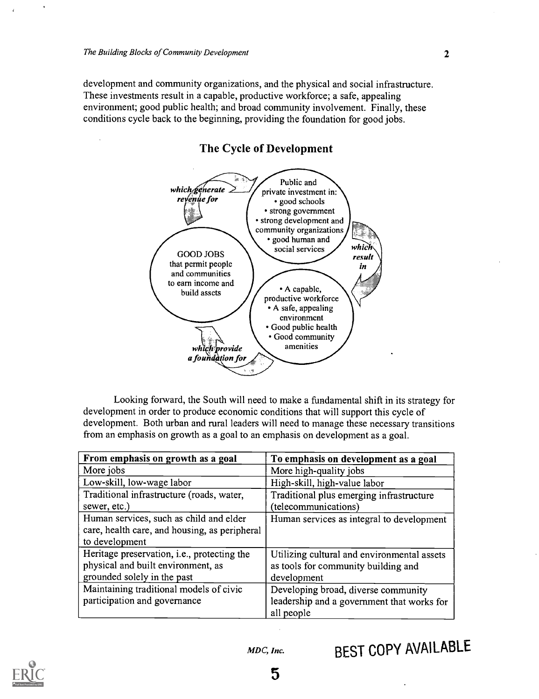development and community organizations, and the physical and social infrastructure. These investments result in a capable, productive workforce; a safe, appealing environment; good public health; and broad community involvement. Finally, these conditions cycle back to the beginning, providing the foundation for good jobs.



#### The Cycle of Development

Looking forward, the South will need to make a fundamental shift in its strategy for development in order to produce economic conditions that will support this cycle of development. Both urban and rural leaders will need to manage these necessary transitions from an emphasis on growth as a goal to an emphasis on development as a goal.

| From emphasis on growth as a goal                   | To emphasis on development as a goal        |
|-----------------------------------------------------|---------------------------------------------|
| More jobs                                           | More high-quality jobs                      |
| Low-skill, low-wage labor                           | High-skill, high-value labor                |
| Traditional infrastructure (roads, water,           | Traditional plus emerging infrastructure    |
| sewer, etc.)                                        | (telecommunications)                        |
| Human services, such as child and elder             | Human services as integral to development   |
| care, health care, and housing, as peripheral       |                                             |
| to development                                      |                                             |
| Heritage preservation, <i>i.e.</i> , protecting the | Utilizing cultural and environmental assets |
| physical and built environment, as                  | as tools for community building and         |
| grounded solely in the past                         | development                                 |
| Maintaining traditional models of civic             | Developing broad, diverse community         |
| participation and governance                        | leadership and a government that works for  |
|                                                     | all people                                  |

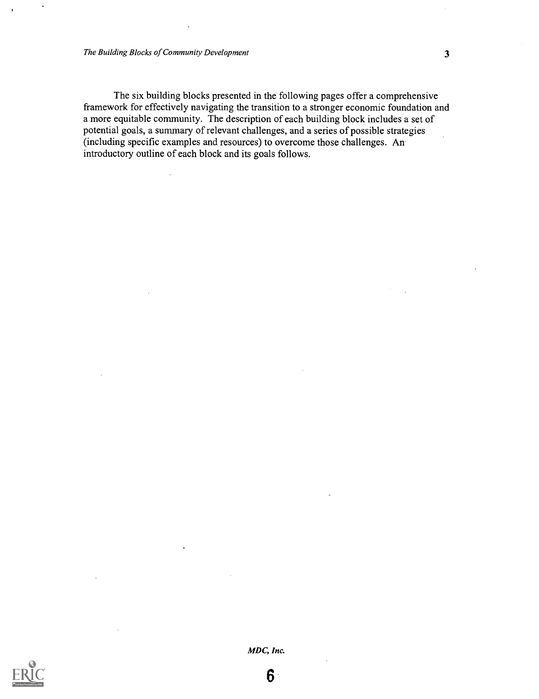The six building blocks presented in the following pages offer a comprehensive framework for effectively navigating the transition to a stronger economic foundation and a more equitable community. The description of each building block includes a set of potential goals, a summary of relevant challenges, and a series of possible strategies (including specific examples and resources) to overcome those challenges. An introductory outline of each block and its goals follows.



MDC, Inc.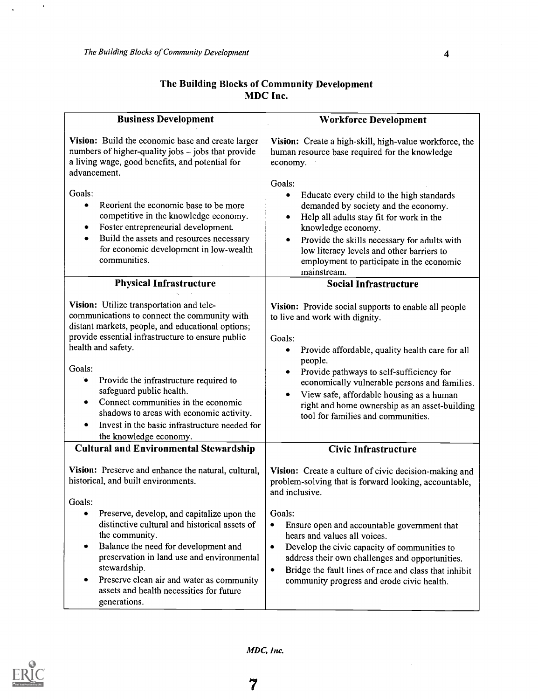$\hat{\boldsymbol{\theta}}$ 

 $\hat{\textbf{r}}$ 

| The Building Blocks of Community Development |  |
|----------------------------------------------|--|
| MDC Inc.                                     |  |

| <b>Business Development</b>                                                                                                                                                                                                                                                                                                                                                                                                                                                           | <b>Workforce Development</b>                                                                                                                                                                                                                                                                                                                                                                             |  |
|---------------------------------------------------------------------------------------------------------------------------------------------------------------------------------------------------------------------------------------------------------------------------------------------------------------------------------------------------------------------------------------------------------------------------------------------------------------------------------------|----------------------------------------------------------------------------------------------------------------------------------------------------------------------------------------------------------------------------------------------------------------------------------------------------------------------------------------------------------------------------------------------------------|--|
| Vision: Build the economic base and create larger<br>numbers of higher-quality jobs - jobs that provide<br>a living wage, good benefits, and potential for<br>advancement.<br>Goals:<br>Reorient the economic base to be more<br>٠<br>competitive in the knowledge economy.                                                                                                                                                                                                           | Vision: Create a high-skill, high-value workforce, the<br>human resource base required for the knowledge<br>economy.<br>Goals:<br>$\bullet$<br>Educate every child to the high standards<br>demanded by society and the economy.                                                                                                                                                                         |  |
| Foster entrepreneurial development.<br>٠<br>Build the assets and resources necessary<br>٠<br>for economic development in low-wealth<br>communities.                                                                                                                                                                                                                                                                                                                                   | Help all adults stay fit for work in the<br>knowledge economy.<br>Provide the skills necessary for adults with<br>low literacy levels and other barriers to<br>employment to participate in the economic<br>mainstream.                                                                                                                                                                                  |  |
| <b>Physical Infrastructure</b>                                                                                                                                                                                                                                                                                                                                                                                                                                                        | <b>Social Infrastructure</b>                                                                                                                                                                                                                                                                                                                                                                             |  |
| Vision: Utilize transportation and tele-<br>communications to connect the community with<br>distant markets, people, and educational options;<br>provide essential infrastructure to ensure public<br>health and safety.<br>Goals:<br>Provide the infrastructure required to<br>۰<br>safeguard public health.<br>Connect communities in the economic<br>٠<br>shadows to areas with economic activity.<br>Invest in the basic infrastructure needed for<br>٠<br>the knowledge economy. | Vision: Provide social supports to enable all people<br>to live and work with dignity.<br>Goals:<br>Provide affordable, quality health care for all<br>٠<br>people.<br>Provide pathways to self-sufficiency for<br>٠<br>economically vulnerable persons and families.<br>View safe, affordable housing as a human<br>right and home ownership as an asset-building<br>tool for families and communities. |  |
| <b>Cultural and Environmental Stewardship</b>                                                                                                                                                                                                                                                                                                                                                                                                                                         | <b>Civic Infrastructure</b>                                                                                                                                                                                                                                                                                                                                                                              |  |
| Vision: Preserve and enhance the natural, cultural,<br>historical, and built environments.<br>Goals:                                                                                                                                                                                                                                                                                                                                                                                  | Vision: Create a culture of civic decision-making and<br>problem-solving that is forward looking, accountable,<br>and inclusive.                                                                                                                                                                                                                                                                         |  |
| Preserve, develop, and capitalize upon the<br>distinctive cultural and historical assets of<br>the community.<br>Balance the need for development and<br>$\bullet$<br>preservation in land use and environmental<br>stewardship.<br>Preserve clean air and water as community<br>٠<br>assets and health necessities for future<br>generations.                                                                                                                                        | Goals:<br>Ensure open and accountable government that<br>$\bullet$<br>hears and values all voices.<br>Develop the civic capacity of communities to<br>$\bullet$<br>address their own challenges and opportunities.<br>Bridge the fault lines of race and class that inhibit<br>$\bullet$<br>community progress and erode civic health.                                                                   |  |



MDC, Inc.

J.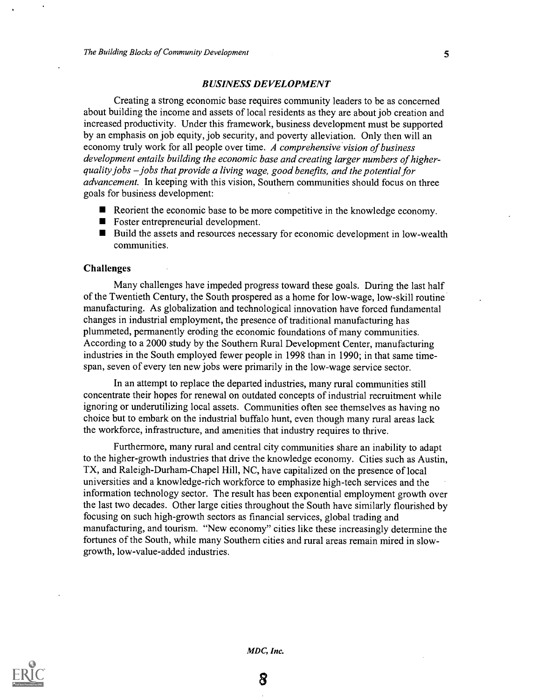#### BUSINESS DEVELOPMENT

Creating a strong economic base requires community leaders to be as concerned about building the income and assets of local residents as they are about job creation and increased productivity. Under this framework, business development must be supported by an emphasis on job equity, job security, and poverty alleviation. Only then will an economy truly work for all people over time. A comprehensive vision of business development entails building the economic base and creating larger numbers of higherquality jobs  $-$  jobs that provide a living wage, good benefits, and the potential for advancement. In keeping with this vision, Southern communities should focus on three goals for business development:

- Reorient the economic base to be more competitive in the knowledge economy.
- Foster entrepreneurial development.
- Build the assets and resources necessary for economic development in low-wealth communities.

#### Challenges

Many challenges have impeded progress toward these goals. During the last half of the Twentieth Century, the South prospered as a home for low-wage, low-skill routine manufacturing. As globalization and technological innovation have forced fundamental changes in industrial employment, the presence of traditional manufacturing has plummeted, permanently eroding the economic foundations of many communities. According to a 2000 study by the Southern Rural Development Center, manufacturing industries in the South employed fewer people in 1998 than in 1990; in that same timespan, seven of every ten new jobs were primarily in the low-wage service sector.

In an attempt to replace the departed industries, many rural communities still concentrate their hopes for renewal on outdated concepts of industrial recruitment while ignoring or underutilizing local assets. Communities often see themselves as having no choice but to embark on the industrial buffalo hunt, even though many rural areas lack the workforce, infrastructure, and amenities that industry requires to thrive.

Furthermore, many rural and central city communities share an inability to adapt to the higher-growth industries that drive the knowledge economy. Cities such as Austin, TX, and Raleigh-Durham-Chapel Hill, NC, have capitalized on the presence of local universities and a knowledge-rich workforce to emphasize high-tech services and the information technology sector. The result has been exponential employment growth over the last two decades. Other large cities throughout the South have similarly flourished by focusing on such high-growth sectors as financial services, global trading and manufacturing, and tourism. "New economy" cities like these increasingly determine the fortunes of the South, while many Southern cities and rural areas remain mired in slowgrowth, low-value-added industries.



MDC, Inc.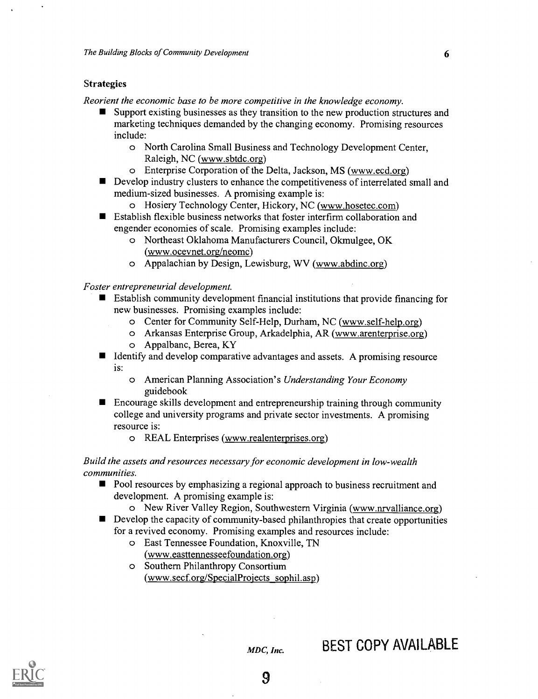#### Strategies

Reorient the economic base to be more competitive in the knowledge economy.

- Support existing businesses as they transition to the new production structures and marketing techniques demanded by the changing economy. Promising resources include:
	- o North Carolina Small Business and Technology Development Center, Raleigh, NC (www.sbtdc.org)
	- o Enterprise Corporation of the Delta, Jackson, MS (www.ecd.org)
- Develop industry clusters to enhance the competitiveness of interrelated small and medium-sized businesses. A promising example is:
	- o Hosiery Technology Center, Hickory, NC (www.hosetec.com)
- Establish flexible business networks that foster interfirm collaboration and engender economies of scale. Promising examples include:
	- o Northeast Oklahoma Manufacturers Council, Okmulgee, OK (www.ocevnet.org/neomc)
	- o Appalachian by Design, Lewisburg, WV (www.abdinc.org)

Foster entrepreneurial development.

- Establish community development financial institutions that provide financing for new businesses. Promising examples include:
	- o Center for Community Self-Help, Durham, NC (www.self-help.org)
	- o Arkansas Enterprise Group, Arkadelphia, AR (www.arenterprise.org)
	- o Appalbanc, Berea, KY
- I Identify and develop comparative advantages and assets. A promising resource is:
	- o American Planning Association's Understanding Your Economy guidebook
- Encourage skills development and entrepreneurship training through community  $\blacksquare$ college and university programs and private sector investments. A promising resource is:
	- o REAL Enterprises (www.realenterprises.org)

#### Build the assets and resources necessary for economic development in low-wealth communities.

- **Pool resources by emphasizing a regional approach to business recruitment and** development. A promising example is:
	- o New River Valley Region, Southwestern Virginia (www.nrvalliance.org)
- Develop the capacity of community-based philanthropies that create opportunities for a revived economy. Promising examples and resources include:
	- o East Tennessee Foundation, Knoxville, TN (www.easttennesseefoundation.org)
	- o Southern Philanthropy Consortium (www.secf.org/SpecialProjects sophil.asp)

### BEST COPY AVAILABLE

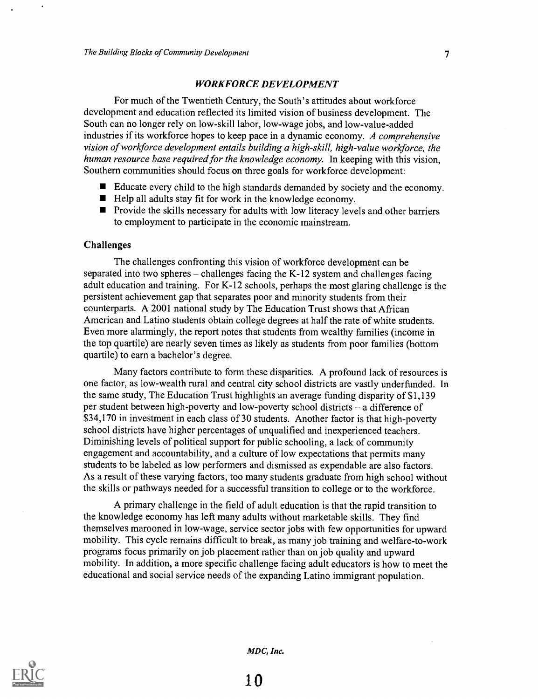#### WORKFORCE DEVELOPMENT

For much of the Twentieth Century, the South's attitudes about workforce development and education reflected its limited vision of business development. The South can no longer rely on low-skill labor, low-wage jobs, and low-value-added industries if its workforce hopes to keep pace in a dynamic economy. A comprehensive vision of workforce development entails building a high-skill, high-value workforce, the human resource base required for the knowledge economy. In keeping with this vision, Southern communities should focus on three goals for workforce development:

- Educate every child to the high standards demanded by society and the economy.
- $\blacksquare$  Help all adults stay fit for work in the knowledge economy.
- **Provide the skills necessary for adults with low literacy levels and other barriers** to employment to participate in the economic mainstream.

#### Challenges

The challenges confronting this vision of workforce development can be separated into two spheres  $-$  challenges facing the K-12 system and challenges facing adult education and training. For K-12 schools, perhaps the most glaring challenge is the persistent achievement gap that separates poor and minority students from their counterparts. A 2001 national study by The Education Trust shows that African American and Latino students obtain college degrees at half the rate of white students. Even more alarmingly, the report notes that students from wealthy families (income in the top quartile) are nearly seven times as likely as students from poor families (bottom quartile) to earn a bachelor's degree.

Many factors contribute to form these disparities. A profound lack of resources is one factor, as low-wealth rural and central city school districts are vastly underfunded. In the same study, The Education Trust highlights an average funding disparity of \$1,139 per student between high-poverty and low-poverty school districts - a difference of \$34,170 in investment in each class of 30 students. Another factor is that high-poverty school districts have higher percentages of unqualified and inexperienced teachers. Diminishing levels of political support for public schooling, a lack of community engagement and accountability, and a culture of low expectations that permits many students to be labeled as low performers and dismissed as expendable are also factors. As a result of these varying factors, too many students graduate from high school without the skills or pathways needed for a successful transition to college or to the workforce.

A primary challenge in the field of adult education is that the rapid transition to the knowledge economy has left many adults without marketable skills. They find themselves marooned in low-wage, service sector jobs with few opportunities for upward mobility. This cycle remains difficult to break, as many job training and welfare-to-work programs focus primarily on job placement rather than on job quality and upward mobility. In addition, a more specific challenge facing adult educators is how to meet the educational and social service needs of the expanding Latino immigrant population.

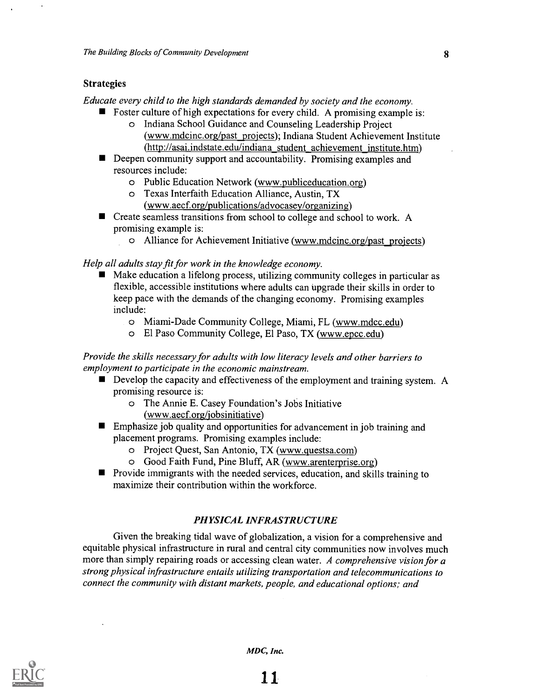#### **Strategies**

Educate every child to the high standards demanded by society and the economy.

- Foster culture of high expectations for every child. A promising example is: o Indiana School Guidance and Counseling Leadership Project
	- (www.mdcinc.org/past projects); Indiana Student Achievement Institute (http://asai.indstate.edu/indiana student achievement institute.htm)
- Deepen community support and accountability. Promising examples and resources include:
	- o Public Education Network (www.publiceducation.org)
	- o Texas Interfaith Education Alliance, Austin, TX
		- $(www.aecf.org/publications/advocasey/organizing)$
- Create seamless transitions from school to college and school to work. A promising example is:
	- o Alliance for Achievement Initiative (www.mdcinc.org/past \_projects)

Help all adults stay fit for work in the knowledge economy.

- Make education a lifelong process, utilizing community colleges in particular as flexible, accessible institutions where adults can upgrade their skills in order to keep pace with the demands of the changing economy. Promising examples include:
	- o Miami-Dade Community College, Miami, FL (www.mdcc.edu)
	- o El Paso Community College, El Paso, TX (www.epcc.edu)

Provide the skills necessary for adults with low literacy levels and other barriers to employment to participate in the economic mainstream.

- Develop the capacity and effectiveness of the employment and training system. A promising resource is:
	- o The Annie E. Casey Foundation's Jobs Initiative (www.aecf.org/jobsinitiative)
- **Emphasize job quality and opportunities for advancement in job training and** placement programs. Promising examples include:
	- o Project Quest, San Antonio, TX (www.questsa.com)
	- o Good Faith Fund, Pine Bluff, AR (www.arenterprise.org)
- **Provide immigrants with the needed services, education, and skills training to** maximize their contribution within the workforce.

#### PHYSICAL INFRASTRUCTURE

Given the breaking tidal wave of globalization, a vision for a comprehensive and equitable physical infrastructure in rural and central city communities now involves much more than simply repairing roads or accessing clean water. A comprehensive vision for a strong physical infrastructure entails utilizing transportation and telecommunications to connect the community with distant markets, people, and educational options; and



MDC, Inc.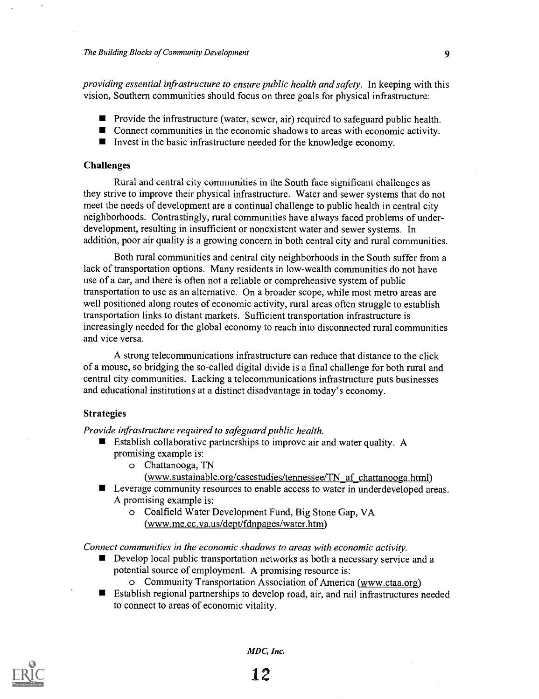providing essential infrastructure to ensure public health and safety. In keeping with this vision, Southern communities should focus on three goals for physical infrastructure:

- **P** Provide the infrastructure (water, sewer, air) required to safeguard public health.
- Connect communities in the economic shadows to areas with economic activity.
- Invest in the basic infrastructure needed for the knowledge economy.

#### Challenges

Rural and central city communities in the South face significant challenges as they strive to improve their physical infrastructure. Water and sewer systems that do not meet the needs of development are a continual challenge to public health in central city neighborhoods. Contrastingly, rural communities have always faced problems of underdevelopment, resulting in insufficient or nonexistent water and sewer systems. In addition, poor air quality is a growing concern in both central city and rural communities.

Both rural communities and central city neighborhoods in the South suffer from a lack of transportation options. Many residents in low-wealth communities do not have use of a car, and there is often not a reliable or comprehensive system of public transportation to use as an alternative. On a broader scope, while most metro areas are well positioned along routes of economic activity, rural areas often struggle to establish transportation links to distant markets. Sufficient transportation infrastructure is increasingly needed for the global economy to reach into disconnected rural communities and vice versa.

A strong telecommunications infrastructure can reduce that distance to the click of a mouse, so bridging the so-called digital divide is a final challenge for both rural and central city communities. Lacking a telecommunications infrastructure puts businesses and educational institutions at a distinct disadvantage in today's economy.

#### Strategies

Provide infrastructure required to safeguard public health.

- Establish collaborative partnerships to improve air and water quality. A promising example is:
	- o Chattanooga, TN
		- (www.sustainable.org/casestudies/tennessee/TN af chattanooga.html)
- Leverage community resources to enable access to water in underdeveloped areas. A promising example is:
	- o Coalfield Water Development Fund, Big Stone Gap, VA (www.me.cc.va.us/dept/fdnpages/water.htm)

Connect communities in the economic shadows to areas with economic activity.

- Develop local public transportation networks as both a necessary service and a potential source of employment. A promising resource is:
	- o Community Transportation Association of America (www.ctaa.org)
- Establish regional partnerships to develop road, air, and rail infrastructures needed to connect to areas of economic vitality.

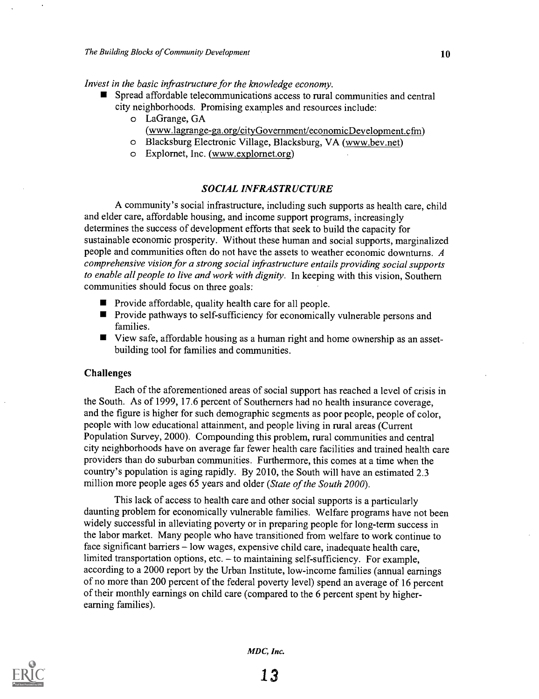Invest in the basic infrastructure for the knowledge economy.

- Spread affordable telecommunications access to rural communities and central city neighborhoods. Promising examples and resources include:
	- o LaGrange, GA (www.lagrange-ga.org/cityGovernment/economicDevelopment.cfm)
	- o Blacksburg Electronic Village, Blacksburg, VA (www.bev.net)
	- o Explornet, Inc. (www.explornet.org)

#### SOCIAL INFRASTRUCTURE

A community's social infrastructure, including such supports as health care, child and elder care, affordable housing, and income support programs, increasingly determines the success of development efforts that seek to build the capacity for sustainable economic prosperity. Without these human and social supports, marginalized people and communities often do not have the assets to weather economic downturns. A comprehensive vision for a strong social infrastructure entails providing social supports to enable all people to live and work with dignity. In keeping with this vision, Southern communities should focus on three goals:

- **Provide affordable, quality health care for all people.**
- **Provide pathways to self-sufficiency for economically vulnerable persons and** families.
- View safe, affordable housing as a human right and home ownership as an assetbuilding tool for families and communities.

#### Challenges

Each of the aforementioned areas of social support has reached a level of crisis in the South. As of 1999, 17.6 percent of Southerners had no health insurance coverage, and the figure is higher for such demographic segments as poor people, people of color, people with low educational attainment, and people living in rural areas (Current Population Survey, 2000). Compounding this problem, rural communities and central city neighborhoods have on average far fewer health care facilities and trained health care providers than do suburban communities. Furthermore, this comes at a time when the country's population is aging rapidly. By 2010, the South will have an estimated 2.3 million more people ages 65 years and older (State of the South 2000).

This lack of access to health care and other social supports is a particularly daunting problem for economically vulnerable families. Welfare programs have not been widely successful in alleviating poverty or in preparing people for long-term success in the labor market. Many people who have transitioned from welfare to work continue to face significant barriers  $-$  low wages, expensive child care, inadequate health care, limited transportation options, etc.  $-$  to maintaining self-sufficiency. For example, according to a 2000 report by the Urban Institute, low-income families (annual earnings of no more than 200 percent of the federal poverty level) spend an average of 16 percent of their monthly earnings on child care (compared to the 6 percent spent by higherearning families).

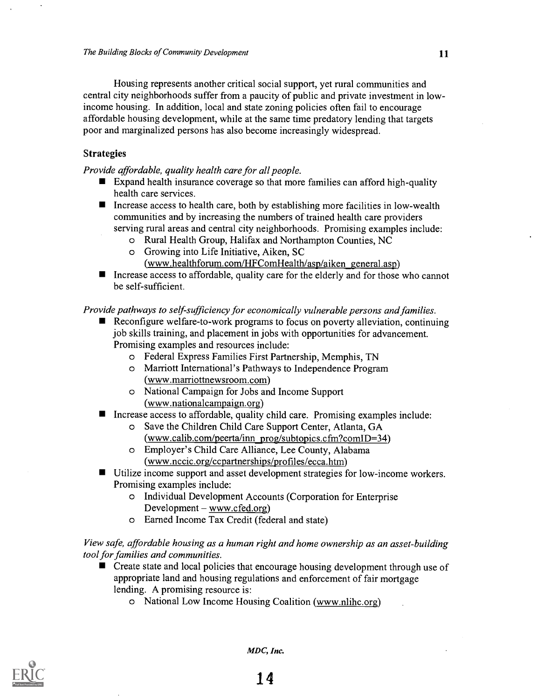Housing represents another critical social support, yet rural communities and central city neighborhoods suffer from a paucity of public and private investment in lowincome housing. In addition, local and state zoning policies often fail to encourage affordable housing development, while at the same time predatory lending that targets poor and marginalized persons has also become increasingly widespread.

#### Strategies

Provide affordable, quality health care for all people.

- Expand health insurance coverage so that more families can afford high-quality health care services.
- Increase access to health care, both by establishing more facilities in low-wealth communities and by increasing the numbers of trained health care providers serving rural areas and central city neighborhoods. Promising examples include:
	- o Rural Health Group, Halifax and Northampton Counties, NC
	- o Growing into Life Initiative, Aiken, SC
		- (www.healthforum.com/HFComHealth/asp/aiken general.asp)
- Increase access to affordable, quality care for the elderly and for those who cannot be self-sufficient.

#### Provide pathways to self-sufficiency for economically vulnerable persons and families.

- Reconfigure welfare-to-work programs to focus on poverty alleviation, continuing job skills training, and placement in jobs with opportunities for advancement. Promising examples and resources include:
	- o Federal Express Families First Partnership, Memphis, TN
	- o Marriott International's Pathways to Independence Program (www.marriottnewsroom.com)
	- o National Campaign for Jobs and Income Support (www.nationalcampaign.org)
- Increase access to affordable, quality child care. Promising examples include:
	- o Save the Children Child Care Support Center, Atlanta, GA  $(www.calib.com/peerta/inn prog/subtopics.cfm?comID=34)$
	- o Employer's Child Care Alliance, Lee County, Alabama (www.nccic.org/ccpartnerships/profiles/ecca.htm)
- Utilize income support and asset development strategies for low-income workers. Promising examples include:
	- o Individual Development Accounts (Corporation for Enterprise  $Development - www.cfed.org)$
	- o Earned Income Tax Credit (federal and state)

View safe, affordable housing as a human right and home ownership as an asset-building tool for families and communities.

- **E** Create state and local policies that encourage housing development through use of appropriate land and housing regulations and enforcement of fair mortgage lending. A promising resource is:
	- o National Low Income Housing Coalition (www.nlihc.org)



MDC, Inc.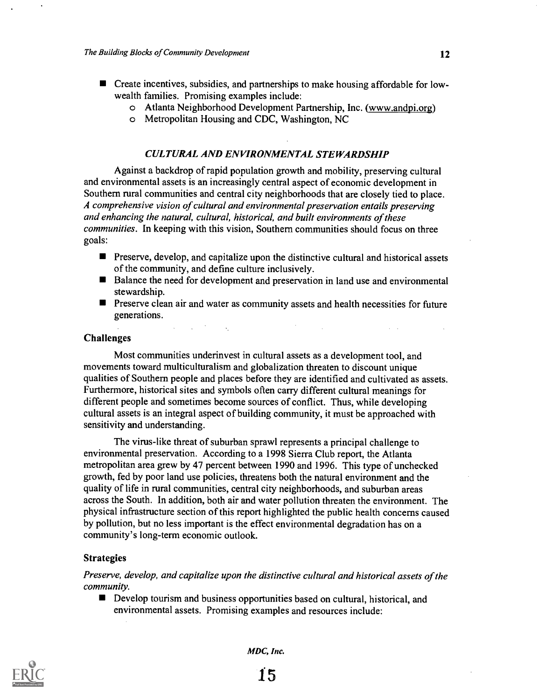- Create incentives, subsidies, and partnerships to make housing affordable for lowwealth families. Promising examples include:
	- o Atlanta Neighborhood Development Partnership, Inc. (www.andpi.org)
	- o Metropolitan Housing and CDC, Washington, NC

#### CULTURAL AND ENVIRONMENTAL STEWARDSHIP

Against a backdrop of rapid population growth and mobility, preserving cultural and environmental assets is an increasingly central aspect of economic development in Southern rural communities and central city neighborhoods that are closely tied to place. A comprehensive vision of cultural and environmental preservation entails preserving and enhancing the natural, cultural, historical, and built environments of these communities. In keeping with this vision, Southern communities should focus on three goals:

- $\blacksquare$  Preserve, develop, and capitalize upon the distinctive cultural and historical assets of the community, and define culture inclusively.
- Balance the need for development and preservation in land use and environmental stewardship.
- **Preserve clean air and water as community assets and health necessities for future** generations.

 $\mathcal{L}_{\rm{max}}$ 

 $\sim 10^{-1}$ 

 $\label{eq:2.1} \mathcal{L}_{\mathcal{A}}(x) = \mathcal{L}_{\mathcal{A}}(x) + \mathcal{L}_{\mathcal{A}}(x) = \mathcal{L}_{\mathcal{A}}(x)$ 

#### Challenges

Most communities underinvest in cultural assets as a development tool, and movements toward multiculturalism and globalization threaten to discount unique qualities of Southern people and places before they are identified and cultivated as assets. Furthermore, historical sites and symbols often carry different cultural meanings for different people and sometimes become sources of conflict. Thus, while developing cultural assets is an integral aspect of building community, it must be approached with sensitivity and understanding.

The virus-like threat of suburban sprawl represents a principal challenge to environmental preservation. According to a 1998 Sierra Club report, the Atlanta metropolitan area grew by 47 percent between 1990 and 1996. This type of unchecked growth, fed by poor land use policies, threatens both the natural environment and the quality of life in rural communities, central city neighborhoods, and suburban areas across the South. In addition, both air and water pollution threaten the environment. The physical infrastructure section of this report highlighted the public health concerns caused by pollution, but no less important is the effect environmental degradation has on a community's long-term economic outlook.

#### Strategies

Preserve, develop, and capitalize upon the distinctive cultural and historical assets of the community.

Develop tourism and business opportunities based on cultural, historical, and environmental assets. Promising examples and resources include:

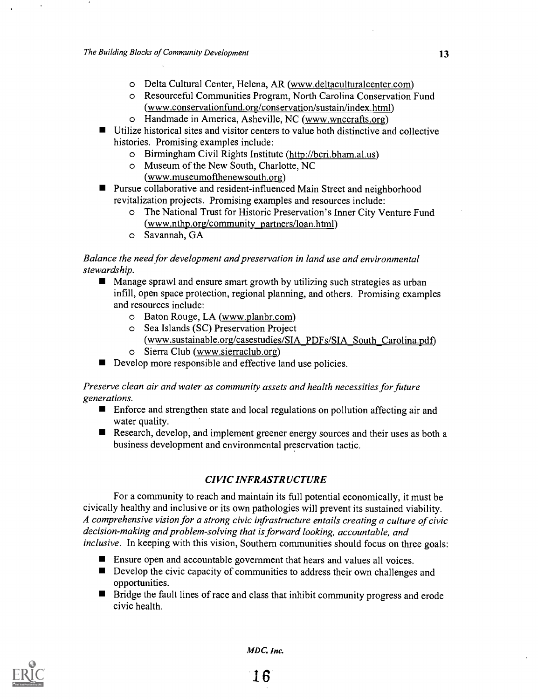- o Delta Cultural Center, Helena, AR (www.deltaculturalcenter.com)
- o Resourceful Communities Program, North Carolina Conservation Fund (www.conservationfund.org/conservation/sustain/index.html)
- o Handmade in America, Asheville, NC (www.wnccrafts.org)
- Utilize historical sites and visitor centers to value both distinctive and collective histories. Promising examples include:
	- o Birmingham Civil Rights Institute (http://bcri.bham.al.us)
	- o Museum of the New South, Charlotte, NC
		- (www.museumofthenewsouth.org)
- **Pursue collaborative and resident-influenced Main Street and neighborhood** revitalization projects. Promising examples and resources include:
	- o The National Trust for Historic Preservation's Inner City Venture Fund (www.nthp.org/community partners/loan.html)
	- o Savannah, GA

#### Balance the need for development and preservation in land use and environmental stewardship.

- **Manage sprawl and ensure smart growth by utilizing such strategies as urban** infill, open space protection, regional planning, and others. Promising examples and resources include:
	- o Baton Rouge, LA (www.planbr.com)
	- o Sea Islands (SC) Preservation Project (www.sustainable.org/casestudies/SIA PDFs/SIA South Carolina.pdf)
	- o Sierra Club (www.sierraclub.org)
- Develop more responsible and effective land use policies.

#### Preserve clean air and water as community assets and health necessities for future generations.

- Enforce and strengthen state and local regulations on pollution affecting air and water quality.
- Research, develop, and implement greener energy sources and their uses as both a business development and environmental preservation tactic.

#### CIVIC INFRASTRUCTURE

For a community to reach and maintain its full potential economically, it must be civically healthy and inclusive or its own pathologies will prevent its sustained viability. A comprehensive vision for a strong civic infrastructure entails creating a culture of civic decision-making and problem-solving that is forward looking, accountable, and inclusive. In keeping with this vision, Southern communities should focus on three goals:

- **Ensure open and accountable government that hears and values all voices.**
- Develop the civic capacity of communities to address their own challenges and opportunities.
- Bridge the fault lines of race and class that inhibit community progress and erode civic health.

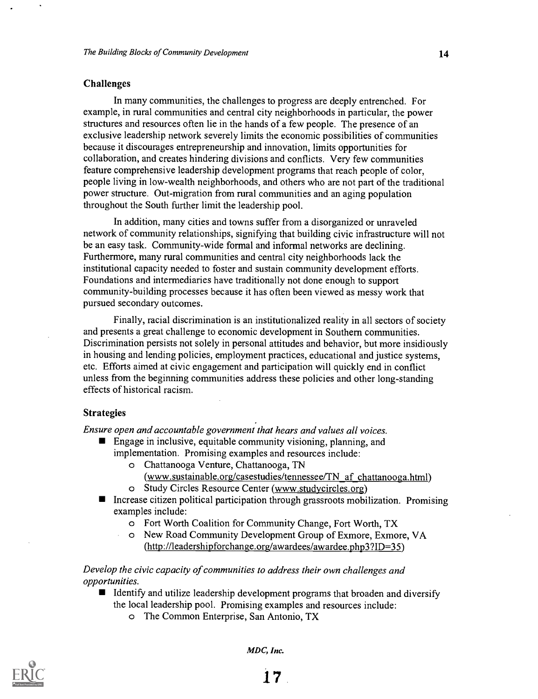#### Challenges

In many communities, the challenges to progress are deeply entrenched. For example, in rural communities and central city neighborhoods in particular, the power structures and resources often lie in the hands of a few people. The presence of an exclusive leadership network severely limits the economic possibilities of communities because it discourages entrepreneurship and innovation, limits opportunities for collaboration, and creates hindering divisions and conflicts. Very few communities feature comprehensive leadership development programs that reach people of color, people living in low-wealth neighborhoods, and others who are not part of the traditional power structure. Out-migration from rural communities and an aging population throughout the South further limit the leadership pool.

In addition, many cities and towns suffer from a disorganized or unraveled network of community relationships, signifying that building civic infrastructure will not be an easy task. Community-wide formal and informal networks are declining. Furthermore, many rural communities and central city neighborhoods lack the institutional capacity needed to foster and sustain community development efforts. Foundations and intermediaries have traditionally not done enough to support community-building processes because it has often been viewed as messy work that pursued secondary outcomes.

Finally, racial discrimination is an institutionalized reality in all sectors of society and presents a great challenge to economic development in Southern communities. Discrimination persists not solely in personal attitudes and behavior, but more insidiously in housing and lending policies, employment practices, educational and justice systems, etc. Efforts aimed at civic engagement and participation will quickly end in conflict unless from the beginning communities address these policies and other long-standing effects of historical racism.

#### Strategies

 $\mathcal{L}^{\mathcal{L}}$ 

Ensure open and accountable government that hears and values all voices.

- Engage in inclusive, equitable community visioning, planning, and implementation. Promising examples and resources include:
	- o Chattanooga Venture, Chattanooga, TN
		- (www.sustainable.org/casestudies/tennessee/TN af chattanooga.html)
	- o Study Circles Resource Center (www.studycircles.org)
- $\blacksquare$  Increase citizen political participation through grassroots mobilization. Promising examples include:
	- o Fort Worth Coalition for Community Change, Fort Worth, TX
	- o New Road Community Development Group of Exmore, Exmore, VA (http://leadershipforchange.org/awardees/awardee.php3?ID=35)

#### Develop the civic capacity of communities to address their own challenges and opportunities.

- $\blacksquare$  Identify and utilize leadership development programs that broaden and diversify the local leadership pool. Promising examples and resources include:
	- o The Common Enterprise, San Antonio, TX

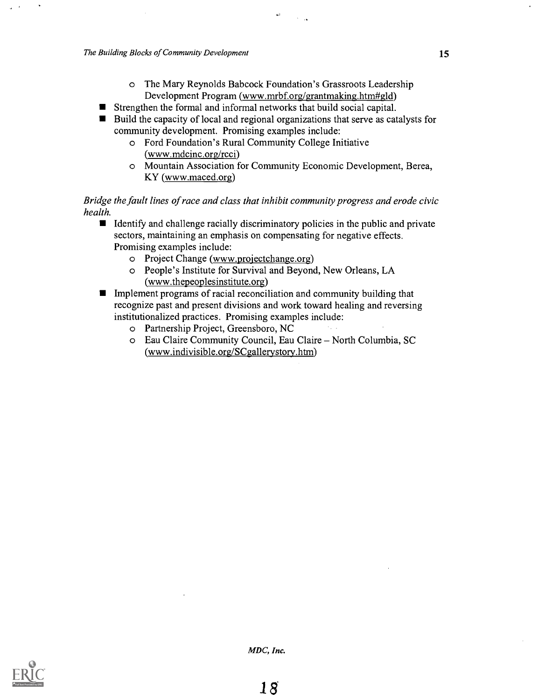o The Mary Reynolds Babcock Foundation's Grassroots Leadership Development Program (www.mrbf.org/grantmaking.htm#gld)

 $\alpha$   $\bar{\imath}$ 

 $\sim$   $\sim$ 

- Strengthen the formal and informal networks that build social capital.  $\blacksquare$
- Build the capacity of local and regional organizations that serve as catalysts for community development. Promising examples include:
	- o Ford Foundation's Rural Community College Initiative (www.mdcinc.org/rcci)
	- o Mountain Association for Community Economic Development, Berea, KY (www.maced.org)

#### Bridge the fault lines of race and class that inhibit community progress and erode civic health.

- If Identify and challenge racially discriminatory policies in the public and private sectors, maintaining an emphasis on compensating for negative effects. Promising examples include:
	- o Project Change (www.projectchange.org)
	- o People's Institute for Survival and Beyond, New Orleans, LA (www.thepeoplesinstitute.org)
- **Implement programs of racial reconciliation and community building that** recognize past and present divisions and work toward healing and reversing institutionalized practices. Promising examples include:
	- o Partnership Project, Greensboro, NC
	- o Eau Claire Community Council, Eau Claire North Columbia, SC (www.indivisible.org/SCgallerystory.htm)